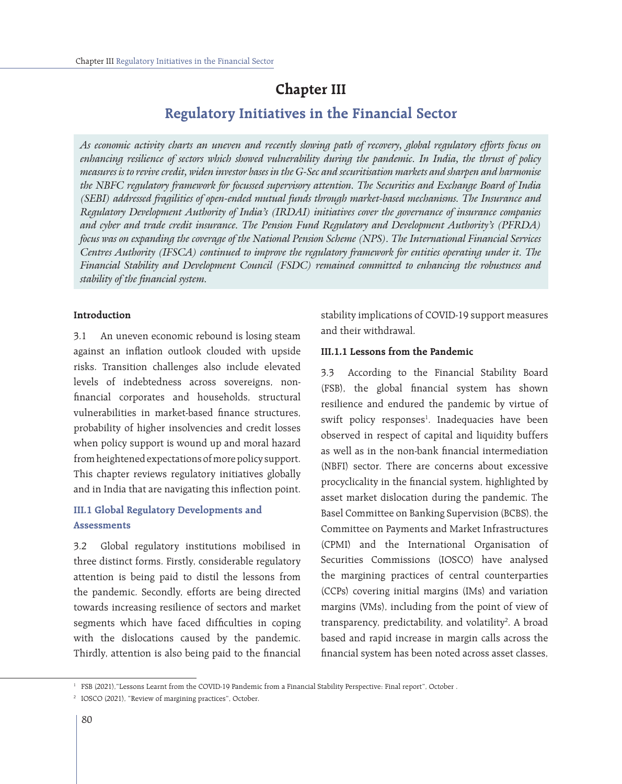## **Chapter III**

# **Regulatory Initiatives in the Financial Sector**

*As economic activity charts an uneven and recently slowing path of recovery, global regulatory efforts focus on enhancing resilience of sectors which showed vulnerability during the pandemic. In India, the thrust of policy measures is to revive credit, widen investor bases in the G-Sec and securitisation markets and sharpen and harmonise the NBFC regulatory framework for focussed supervisory attention. The Securities and Exchange Board of India (SEBI) addressed fragilities of open-ended mutual funds through market-based mechanisms. The Insurance and Regulatory Development Authority of India's (IRDAI) initiatives cover the governance of insurance companies and cyber and trade credit insurance. The Pension Fund Regulatory and Development Authority's (PFRDA) focus was on expanding the coverage of the National Pension Scheme (NPS). The International Financial Services Centres Authority (IFSCA) continued to improve the regulatory framework for entities operating under it. The Financial Stability and Development Council (FSDC) remained committed to enhancing the robustness and stability of the financial system.*

#### **Introduction**

3.1 An uneven economic rebound is losing steam against an inflation outlook clouded with upside risks. Transition challenges also include elevated levels of indebtedness across sovereigns, nonfinancial corporates and households, structural vulnerabilities in market-based finance structures, probability of higher insolvencies and credit losses when policy support is wound up and moral hazard from heightened expectations of more policy support. This chapter reviews regulatory initiatives globally and in India that are navigating this inflection point.

### **III.1 Global Regulatory Developments and Assessments**

3.2 Global regulatory institutions mobilised in three distinct forms. Firstly, considerable regulatory attention is being paid to distil the lessons from the pandemic. Secondly, efforts are being directed towards increasing resilience of sectors and market segments which have faced difficulties in coping with the dislocations caused by the pandemic. Thirdly, attention is also being paid to the financial stability implications of COVID-19 support measures and their withdrawal.

#### **III.1.1 Lessons from the Pandemic**

3.3 According to the Financial Stability Board (FSB), the global financial system has shown resilience and endured the pandemic by virtue of swift policy responses<sup>1</sup>. Inadequacies have been observed in respect of capital and liquidity buffers as well as in the non-bank financial intermediation (NBFI) sector. There are concerns about excessive procyclicality in the financial system, highlighted by asset market dislocation during the pandemic. The Basel Committee on Banking Supervision (BCBS), the Committee on Payments and Market Infrastructures (CPMI) and the International Organisation of Securities Commissions (IOSCO) have analysed the margining practices of central counterparties (CCPs) covering initial margins (IMs) and variation margins (VMs), including from the point of view of transparency, predictability, and volatility<sup>2</sup>. A broad based and rapid increase in margin calls across the financial system has been noted across asset classes,

<sup>&</sup>lt;sup>1</sup> FSB (2021), "Lessons Learnt from the COVID-19 Pandemic from a Financial Stability Perspective: Final report", October .

<sup>&</sup>lt;sup>2</sup> IOSCO (2021), "Review of margining practices", October.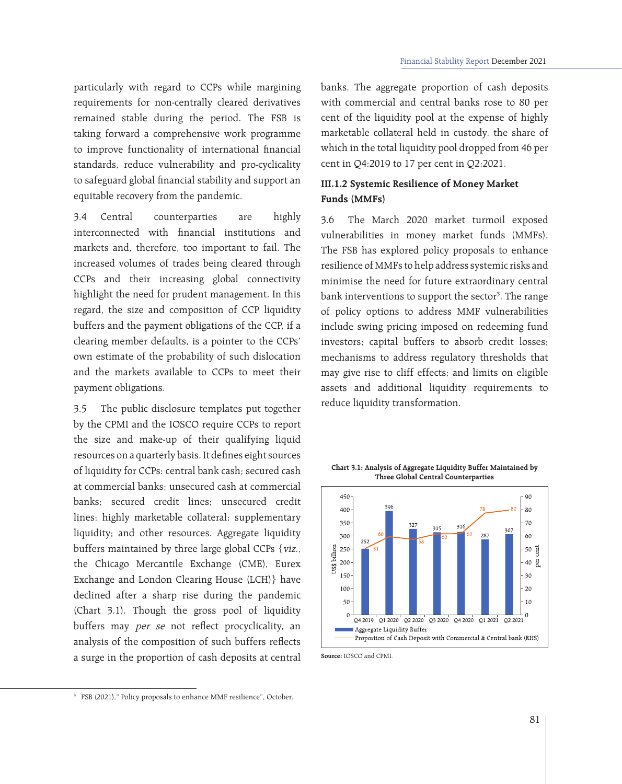particularly with regard to CCPs while margining requirements for non-centrally cleared derivatives remained stable during the period. The FSB is taking forward a comprehensive work programme to improve functionality of international financial standards, reduce vulnerability and pro-cyclicality to safeguard global financial stability and support an equitable recovery from the pandemic.

3.4 Central counterparties are highly interconnected with financial institutions and markets and, therefore, too important to fail. The increased volumes of trades being cleared through CCPs and their increasing global connectivity highlight the need for prudent management. In this regard, the size and composition of CCP liquidity buffers and the payment obligations of the CCP, if a clearing member defaults, is a pointer to the CCPs' own estimate of the probability of such dislocation and the markets available to CCPs to meet their payment obligations.

3.5 The public disclosure templates put together by the CPMI and the IOSCO require CCPs to report the size and make-up of their qualifying liquid resources on a quarterly basis. It defines eight sources of liquidity for CCPs: central bank cash; secured cash at commercial banks; unsecured cash at commercial banks; secured credit lines; unsecured credit lines; highly marketable collateral; supplementary liquidity; and other resources. Aggregate liquidity buffers maintained by three large global CCPs {viz., the Chicago Mercantile Exchange (CME), Eurex Exchange and London Clearing House (LCH)} have declined after a sharp rise during the pandemic (Chart 3.1). Though the gross pool of liquidity buffers may *per se* not reflect procyclicality, an analysis of the composition of such buffers reflects a surge in the proportion of cash deposits at central banks. The aggregate proportion of cash deposits with commercial and central banks rose to 80 per cent of the liquidity pool at the expense of highly marketable collateral held in custody, the share of which in the total liquidity pool dropped from 46 per cent in Q4:2019 to 17 per cent in Q2:2021.

### **III.1.2 Systemic Resilience of Money Market Funds (MMFs)**

3.6 The March 2020 market turmoil exposed vulnerabilities in money market funds (MMFs). The FSB has explored policy proposals to enhance resilience of MMFs to help address systemic risks and minimise the need for future extraordinary central bank interventions to support the sector<sup>3</sup>. The range of policy options to address MMF vulnerabilities include swing pricing imposed on redeeming fund investors; capital buffers to absorb credit losses; mechanisms to address regulatory thresholds that may give rise to cliff effects; and limits on eligible assets and additional liquidity requirements to reduce liquidity transformation.





**Source:** IOSCO and CPMI.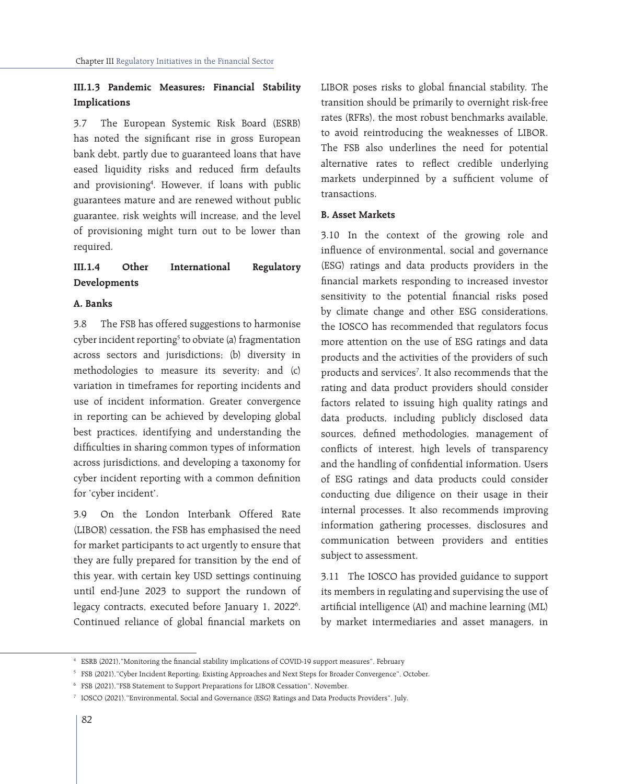### **III.1.3 Pandemic Measures: Financial Stability Implications**

3.7 The European Systemic Risk Board (ESRB) has noted the significant rise in gross European bank debt, partly due to guaranteed loans that have eased liquidity risks and reduced firm defaults and provisioning4 . However, if loans with public guarantees mature and are renewed without public guarantee, risk weights will increase, and the level of provisioning might turn out to be lower than required.

## **III.1.4 Other International Regulatory Developments**

#### **A. Banks**

3.8 The FSB has offered suggestions to harmonise cyber incident reporting<sup>5</sup> to obviate (a) fragmentation across sectors and jurisdictions; (b) diversity in methodologies to measure its severity; and (c) variation in timeframes for reporting incidents and use of incident information. Greater convergence in reporting can be achieved by developing global best practices, identifying and understanding the difficulties in sharing common types of information across jurisdictions, and developing a taxonomy for cyber incident reporting with a common definition for 'cyber incident'.

3.9 On the London Interbank Offered Rate (LIBOR) cessation, the FSB has emphasised the need for market participants to act urgently to ensure that they are fully prepared for transition by the end of this year, with certain key USD settings continuing until end-June 2023 to support the rundown of legacy contracts, executed before January 1, 2022<sup>6</sup>. Continued reliance of global financial markets on

LIBOR poses risks to global financial stability. The transition should be primarily to overnight risk-free rates (RFRs), the most robust benchmarks available, to avoid reintroducing the weaknesses of LIBOR. The FSB also underlines the need for potential alternative rates to reflect credible underlying markets underpinned by a sufficient volume of transactions.

#### **B. Asset Markets**

3.10 In the context of the growing role and influence of environmental, social and governance (ESG) ratings and data products providers in the financial markets responding to increased investor sensitivity to the potential financial risks posed by climate change and other ESG considerations, the IOSCO has recommended that regulators focus more attention on the use of ESG ratings and data products and the activities of the providers of such products and services<sup>7</sup>. It also recommends that the rating and data product providers should consider factors related to issuing high quality ratings and data products, including publicly disclosed data sources, defined methodologies, management of conflicts of interest, high levels of transparency and the handling of confidential information. Users of ESG ratings and data products could consider conducting due diligence on their usage in their internal processes. It also recommends improving information gathering processes, disclosures and communication between providers and entities subject to assessment.

3.11 The IOSCO has provided guidance to support its members in regulating and supervising the use of artificial intelligence (AI) and machine learning (ML) by market intermediaries and asset managers, in

<sup>4</sup> ESRB (2021),"Monitoring the financial stability implications of COVID-19 support measures", February

<sup>5</sup> FSB (2021),"Cyber Incident Reporting: Existing Approaches and Next Steps for Broader Convergence", October.

<sup>6</sup> FSB (2021),"FSB Statement to Support Preparations for LIBOR Cessation", November.

<sup>7</sup> IOSCO (2021),"Environmental, Social and Governance (ESG) Ratings and Data Products Providers", July.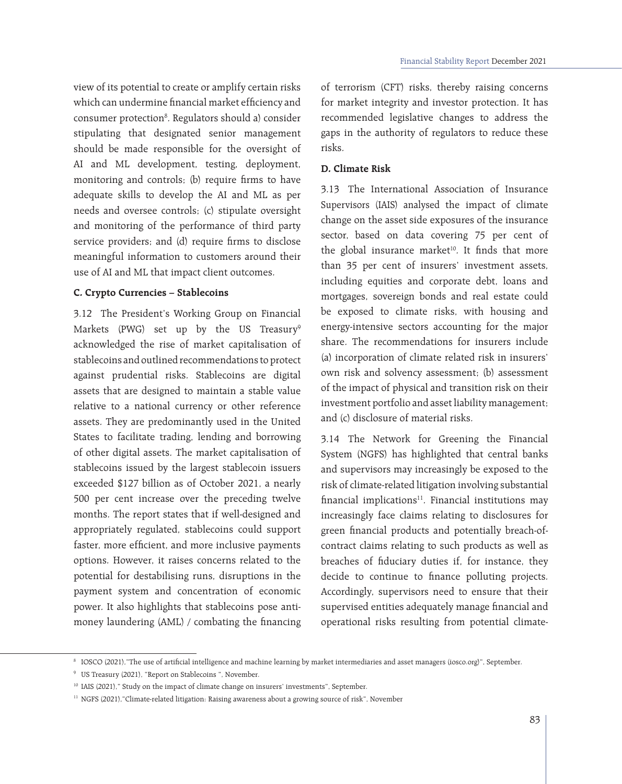view of its potential to create or amplify certain risks which can undermine financial market efficiency and consumer protection<sup>8</sup>. Regulators should a) consider stipulating that designated senior management should be made responsible for the oversight of AI and ML development, testing, deployment, monitoring and controls; (b) require firms to have adequate skills to develop the AI and ML as per needs and oversee controls; (c) stipulate oversight and monitoring of the performance of third party service providers; and (d) require firms to disclose meaningful information to customers around their use of AI and ML that impact client outcomes.

### **C. Crypto Currencies – Stablecoins**

3.12 The President's Working Group on Financial Markets (PWG) set up by the US Treasury<sup>9</sup> acknowledged the rise of market capitalisation of stablecoins and outlined recommendations to protect against prudential risks. Stablecoins are digital assets that are designed to maintain a stable value relative to a national currency or other reference assets. They are predominantly used in the United States to facilitate trading, lending and borrowing of other digital assets. The market capitalisation of stablecoins issued by the largest stablecoin issuers exceeded \$127 billion as of October 2021, a nearly 500 per cent increase over the preceding twelve months. The report states that if well-designed and appropriately regulated, stablecoins could support faster, more efficient, and more inclusive payments options. However, it raises concerns related to the potential for destabilising runs, disruptions in the payment system and concentration of economic power. It also highlights that stablecoins pose antimoney laundering (AML) / combating the financing

of terrorism (CFT) risks, thereby raising concerns for market integrity and investor protection. It has recommended legislative changes to address the gaps in the authority of regulators to reduce these risks.

### **D. Climate Risk**

3.13 The International Association of Insurance Supervisors (IAIS) analysed the impact of climate change on the asset side exposures of the insurance sector, based on data covering 75 per cent of the global insurance market<sup>10</sup>. It finds that more than 35 per cent of insurers' investment assets, including equities and corporate debt, loans and mortgages, sovereign bonds and real estate could be exposed to climate risks, with housing and energy-intensive sectors accounting for the major share. The recommendations for insurers include (a) incorporation of climate related risk in insurers' own risk and solvency assessment; (b) assessment of the impact of physical and transition risk on their investment portfolio and asset liability management; and (c) disclosure of material risks.

3.14 The Network for Greening the Financial System (NGFS) has highlighted that central banks and supervisors may increasingly be exposed to the risk of climate-related litigation involving substantial financial implications $11$ . Financial institutions may increasingly face claims relating to disclosures for green financial products and potentially breach-ofcontract claims relating to such products as well as breaches of fiduciary duties if, for instance, they decide to continue to finance polluting projects. Accordingly, supervisors need to ensure that their supervised entities adequately manage financial and operational risks resulting from potential climate-

<sup>8</sup> IOSCO (2021),"The use of artificial intelligence and machine learning by market intermediaries and asset managers (iosco.org)", September.

<sup>9</sup> US Treasury (2021), "Report on Stablecoins ", November.

<sup>&</sup>lt;sup>10</sup> IAIS (2021)," Study on the impact of climate change on insurers' investments", September.

<sup>&</sup>lt;sup>11</sup> NGFS (2021), "Climate-related litigation: Raising awareness about a growing source of risk", November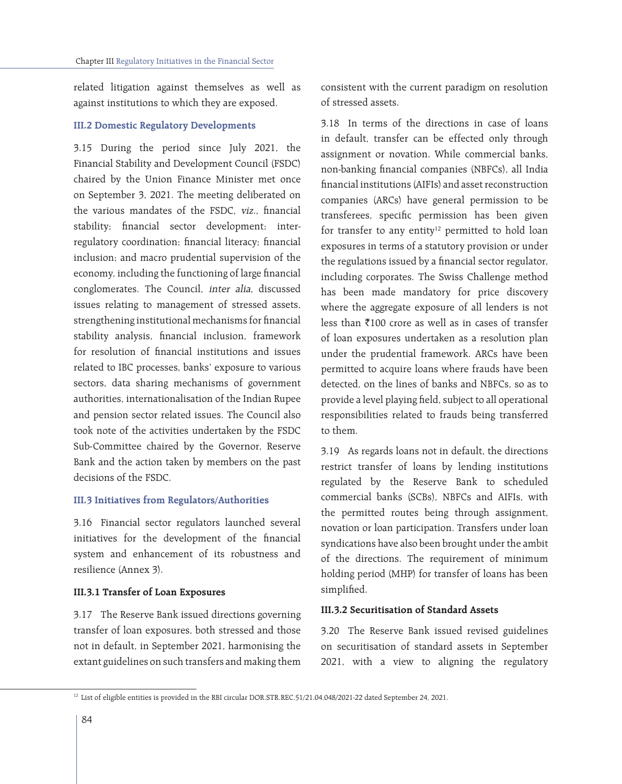related litigation against themselves as well as against institutions to which they are exposed.

#### **III.2 Domestic Regulatory Developments**

3.15 During the period since July 2021, the Financial Stability and Development Council (FSDC) chaired by the Union Finance Minister met once on September 3, 2021. The meeting deliberated on the various mandates of the FSDC, viz., financial stability; financial sector development; interregulatory coordination; financial literacy; financial inclusion; and macro prudential supervision of the economy, including the functioning of large financial conglomerates. The Council, inter alia, discussed issues relating to management of stressed assets, strengthening institutional mechanisms for financial stability analysis, financial inclusion, framework for resolution of financial institutions and issues related to IBC processes, banks' exposure to various sectors, data sharing mechanisms of government authorities, internationalisation of the Indian Rupee and pension sector related issues. The Council also took note of the activities undertaken by the FSDC Sub-Committee chaired by the Governor, Reserve Bank and the action taken by members on the past decisions of the FSDC.

### **III.3 Initiatives from Regulators/Authorities**

3.16 Financial sector regulators launched several initiatives for the development of the financial system and enhancement of its robustness and resilience (Annex 3).

### **III.3.1 Transfer of Loan Exposures**

3.17 The Reserve Bank issued directions governing transfer of loan exposures, both stressed and those not in default, in September 2021, harmonising the extant guidelines on such transfers and making them consistent with the current paradigm on resolution of stressed assets.

3.18 In terms of the directions in case of loans in default, transfer can be effected only through assignment or novation. While commercial banks, non-banking financial companies (NBFCs), all India financial institutions (AIFIs) and asset reconstruction companies (ARCs) have general permission to be transferees, specific permission has been given for transfer to any entity<sup>12</sup> permitted to hold loan exposures in terms of a statutory provision or under the regulations issued by a financial sector regulator, including corporates. The Swiss Challenge method has been made mandatory for price discovery where the aggregate exposure of all lenders is not less than  $\bar{\xi}$ 100 crore as well as in cases of transfer of loan exposures undertaken as a resolution plan under the prudential framework. ARCs have been permitted to acquire loans where frauds have been detected, on the lines of banks and NBFCs, so as to provide a level playing field, subject to all operational responsibilities related to frauds being transferred to them.

3.19 As regards loans not in default, the directions restrict transfer of loans by lending institutions regulated by the Reserve Bank to scheduled commercial banks (SCBs), NBFCs and AIFIs, with the permitted routes being through assignment, novation or loan participation. Transfers under loan syndications have also been brought under the ambit of the directions. The requirement of minimum holding period (MHP) for transfer of loans has been simplified.

#### **III.3.2 Securitisation of Standard Assets**

3.20 The Reserve Bank issued revised guidelines on securitisation of standard assets in September 2021, with a view to aligning the regulatory

<sup>&</sup>lt;sup>12</sup> List of eligible entities is provided in the RBI circular DOR.STR.REC.51/21.04.048/2021-22 dated September 24, 2021.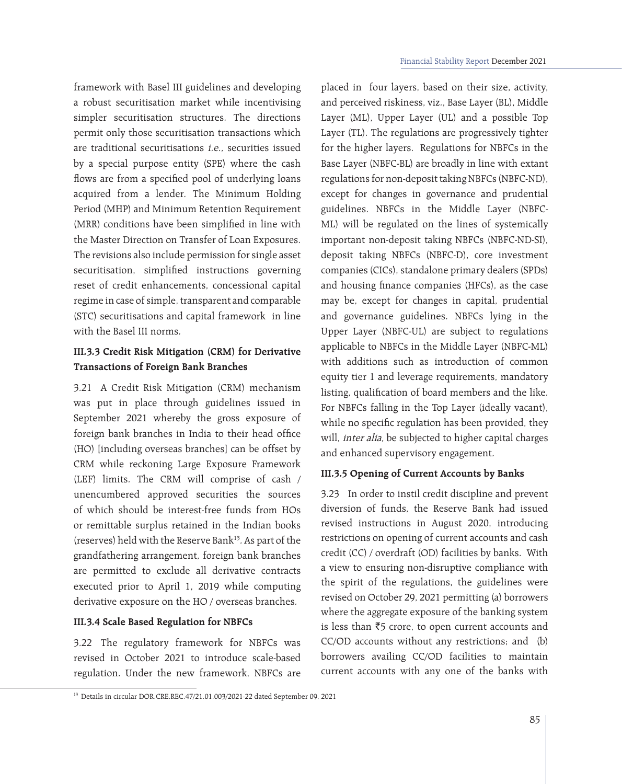framework with Basel III guidelines and developing a robust securitisation market while incentivising simpler securitisation structures. The directions permit only those securitisation transactions which are traditional securitisations i.e., securities issued by a special purpose entity (SPE) where the cash flows are from a specified pool of underlying loans acquired from a lender. The Minimum Holding Period (MHP) and Minimum Retention Requirement (MRR) conditions have been simplified in line with the Master Direction on Transfer of Loan Exposures. The revisions also include permission for single asset securitisation, simplified instructions governing reset of credit enhancements, concessional capital regime in case of simple, transparent and comparable (STC) securitisations and capital framework in line with the Basel III norms.

## **III.3.3 Credit Risk Mitigation (CRM) for Derivative Transactions of Foreign Bank Branches**

3.21 A Credit Risk Mitigation (CRM) mechanism was put in place through guidelines issued in September 2021 whereby the gross exposure of foreign bank branches in India to their head office (HO) [including overseas branches] can be offset by CRM while reckoning Large Exposure Framework (LEF) limits. The CRM will comprise of cash / unencumbered approved securities the sources of which should be interest-free funds from HOs or remittable surplus retained in the Indian books (reserves) held with the Reserve Bank<sup>13</sup>. As part of the grandfathering arrangement, foreign bank branches are permitted to exclude all derivative contracts executed prior to April 1, 2019 while computing derivative exposure on the HO / overseas branches.

### **III.3.4 Scale Based Regulation for NBFCs**

3.22 The regulatory framework for NBFCs was revised in October 2021 to introduce scale-based regulation. Under the new framework, NBFCs are

placed in four layers, based on their size, activity, and perceived riskiness, viz., Base Layer (BL), Middle Layer (ML), Upper Layer (UL) and a possible Top Layer (TL). The regulations are progressively tighter for the higher layers. Regulations for NBFCs in the Base Layer (NBFC-BL) are broadly in line with extant regulations for non-deposit taking NBFCs (NBFC-ND), except for changes in governance and prudential guidelines. NBFCs in the Middle Layer (NBFC-ML) will be regulated on the lines of systemically important non-deposit taking NBFCs (NBFC-ND-SI), deposit taking NBFCs (NBFC-D), core investment companies (CICs), standalone primary dealers (SPDs) and housing finance companies (HFCs), as the case may be, except for changes in capital, prudential and governance guidelines. NBFCs lying in the Upper Layer (NBFC-UL) are subject to regulations applicable to NBFCs in the Middle Layer (NBFC-ML) with additions such as introduction of common equity tier 1 and leverage requirements, mandatory listing, qualification of board members and the like. For NBFCs falling in the Top Layer (ideally vacant), while no specific regulation has been provided, they will, *inter alia*, be subjected to higher capital charges and enhanced supervisory engagement.

### **III.3.5 Opening of Current Accounts by Banks**

3.23 In order to instil credit discipline and prevent diversion of funds, the Reserve Bank had issued revised instructions in August 2020, introducing restrictions on opening of current accounts and cash credit (CC) / overdraft (OD) facilities by banks. With a view to ensuring non-disruptive compliance with the spirit of the regulations, the guidelines were revised on October 29, 2021 permitting (a) borrowers where the aggregate exposure of the banking system is less than  $\overline{5}$  crore, to open current accounts and CC/OD accounts without any restrictions; and (b) borrowers availing CC/OD facilities to maintain current accounts with any one of the banks with

<sup>&</sup>lt;sup>13</sup> Details in circular DOR.CRE.REC.47/21.01.003/2021-22 dated September 09, 2021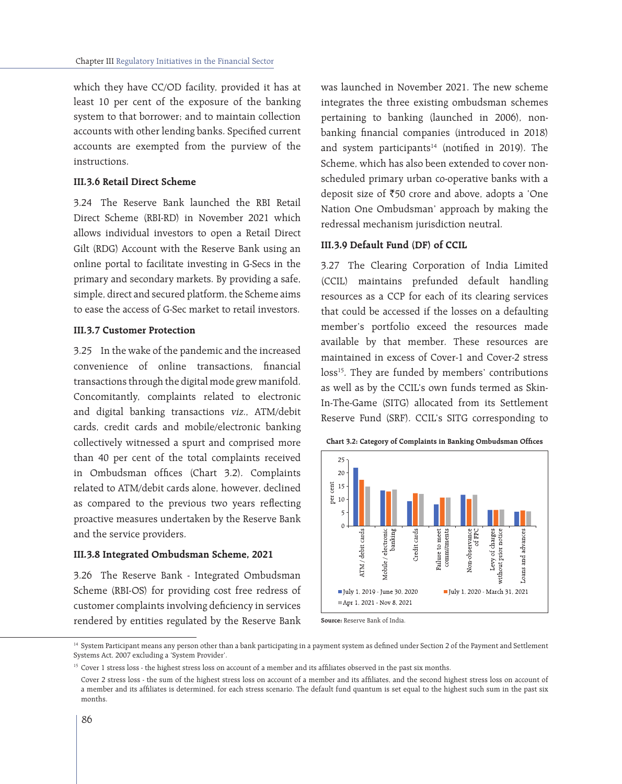which they have CC/OD facility, provided it has at least 10 per cent of the exposure of the banking system to that borrower; and to maintain collection accounts with other lending banks. Specified current accounts are exempted from the purview of the instructions.

#### **III.3.6 Retail Direct Scheme**

3.24 The Reserve Bank launched the RBI Retail Direct Scheme (RBI-RD) in November 2021 which allows individual investors to open a Retail Direct Gilt (RDG) Account with the Reserve Bank using an online portal to facilitate investing in G-Secs in the primary and secondary markets. By providing a safe, simple, direct and secured platform, the Scheme aims to ease the access of G-Sec market to retail investors.

#### **III.3.7 Customer Protection**

3.25 In the wake of the pandemic and the increased convenience of online transactions, financial transactions through the digital mode grew manifold. Concomitantly, complaints related to electronic and digital banking transactions viz., ATM/debit cards, credit cards and mobile/electronic banking collectively witnessed a spurt and comprised more than 40 per cent of the total complaints received in Ombudsman offices (Chart 3.2). Complaints related to ATM/debit cards alone, however, declined as compared to the previous two years reflecting proactive measures undertaken by the Reserve Bank and the service providers.

#### **III.3.8 Integrated Ombudsman Scheme, 2021**

3.26 The Reserve Bank - Integrated Ombudsman Scheme (RBI-OS) for providing cost free redress of customer complaints involving deficiency in services rendered by entities regulated by the Reserve Bank was launched in November 2021. The new scheme integrates the three existing ombudsman schemes pertaining to banking (launched in 2006), nonbanking financial companies (introduced in 2018) and system participants<sup>14</sup> (notified in 2019). The Scheme, which has also been extended to cover nonscheduled primary urban co-operative banks with a deposit size of  $\bar{z}50$  crore and above, adopts a 'One Nation One Ombudsman' approach by making the redressal mechanism jurisdiction neutral.

#### **III.3.9 Default Fund (DF) of CCIL**

3.27 The Clearing Corporation of India Limited (CCIL) maintains prefunded default handling resources as a CCP for each of its clearing services that could be accessed if the losses on a defaulting member's portfolio exceed the resources made available by that member. These resources are maintained in excess of Cover-1 and Cover-2 stress loss<sup>15</sup>. They are funded by members' contributions as well as by the CCIL's own funds termed as Skin-In-The-Game (SITG) allocated from its Settlement Reserve Fund (SRF). CCIL's SITG corresponding to





**Source:** Reserve Bank of India.

<sup>&</sup>lt;sup>14</sup> System Participant means any person other than a bank participating in a payment system as defined under Section 2 of the Payment and Settlement Systems Act, 2007 excluding a 'System Provider'.

<sup>&</sup>lt;sup>15</sup> Cover 1 stress loss - the highest stress loss on account of a member and its affiliates observed in the past six months.

Cover 2 stress loss - the sum of the highest stress loss on account of a member and its affiliates, and the second highest stress loss on account of a member and its affiliates is determined, for each stress scenario. The default fund quantum is set equal to the highest such sum in the past six months.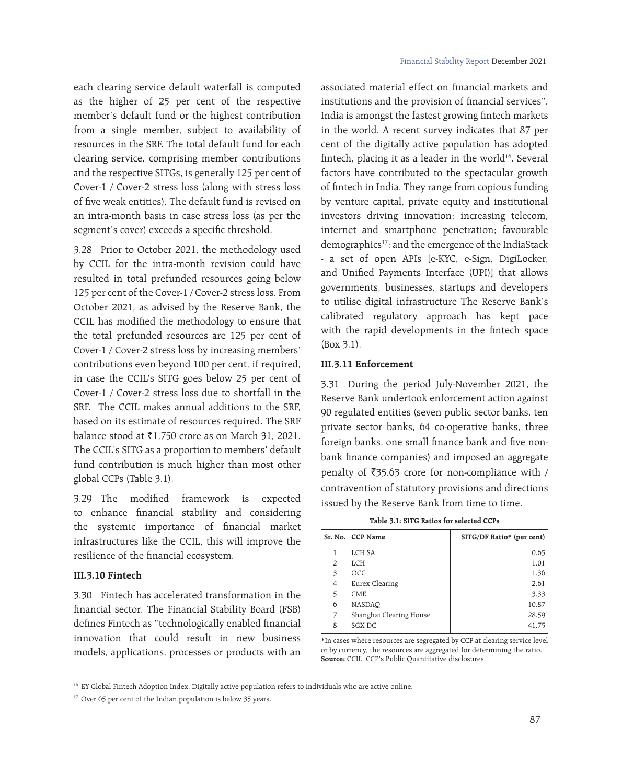each clearing service default waterfall is computed as the higher of 25 per cent of the respective member's default fund or the highest contribution from a single member, subject to availability of resources in the SRF. The total default fund for each clearing service, comprising member contributions and the respective SITGs, is generally 125 per cent of Cover-1 / Cover-2 stress loss (along with stress loss of five weak entities). The default fund is revised on an intra-month basis in case stress loss (as per the segment's cover) exceeds a specific threshold.

3.28 Prior to October 2021, the methodology used by CCIL for the intra-month revision could have resulted in total prefunded resources going below 125 per cent of the Cover-1 / Cover-2 stress loss. From October 2021, as advised by the Reserve Bank, the CCIL has modified the methodology to ensure that the total prefunded resources are 125 per cent of Cover-1 / Cover-2 stress loss by increasing members' contributions even beyond 100 per cent, if required, in case the CCIL's SITG goes below 25 per cent of Cover-1 / Cover-2 stress loss due to shortfall in the SRF. The CCIL makes annual additions to the SRF, based on its estimate of resources required. The SRF balance stood at  $\bar{c}1,750$  crore as on March 31, 2021. The CCIL's SITG as a proportion to members' default fund contribution is much higher than most other global CCPs (Table 3.1).

3.29 The modified framework is expected to enhance financial stability and considering the systemic importance of financial market infrastructures like the CCIL, this will improve the resilience of the financial ecosystem.

### **III.3.10 Fintech**

3.30 Fintech has accelerated transformation in the financial sector. The Financial Stability Board (FSB) defines Fintech as "technologically enabled financial innovation that could result in new business models, applications, processes or products with an associated material effect on financial markets and institutions and the provision of financial services". India is amongst the fastest growing fintech markets in the world. A recent survey indicates that 87 per cent of the digitally active population has adopted fintech, placing it as a leader in the world<sup>16</sup>. Several factors have contributed to the spectacular growth of fintech in India. They range from copious funding by venture capital, private equity and institutional investors driving innovation; increasing telecom, internet and smartphone penetration; favourable demographics<sup>17</sup>; and the emergence of the IndiaStack - a set of open APIs [e-KYC, e-Sign, DigiLocker, and Unified Payments Interface (UPI)] that allows governments, businesses, startups and developers to utilise digital infrastructure The Reserve Bank's calibrated regulatory approach has kept pace with the rapid developments in the fintech space (Box 3.1).

#### **III.3.11 Enforcement**

3.31 During the period July-November 2021, the Reserve Bank undertook enforcement action against 90 regulated entities (seven public sector banks, ten private sector banks, 64 co-operative banks, three foreign banks, one small finance bank and five nonbank finance companies) and imposed an aggregate penalty of  $\overline{5}35.63$  crore for non-compliance with / contravention of statutory provisions and directions issued by the Reserve Bank from time to time.

| Table 3.1: SITG Ratios for selected CCPs |  |
|------------------------------------------|--|
|------------------------------------------|--|

|   | Sr. No.   CCP Name      | SITG/DF Ratio* (per cent) |
|---|-------------------------|---------------------------|
|   | <b>LCH SA</b>           | 0.65                      |
| 2 | <b>LCH</b>              | 1.01                      |
| 3 | OCC                     | 1.36                      |
| 4 | Eurex Clearing          | 2.61                      |
| 5 | <b>CME</b>              | 3.33                      |
| 6 | <b>NASDAQ</b>           | 10.87                     |
| 7 | Shanghai Clearing House | 28.59                     |
| 8 | <b>SGX DC</b>           | 41.75                     |
|   |                         |                           |

\*In cases where resources are segregated by CCP at clearing service level or by currency, the resources are aggregated for determining the ratio. **Source:** CCIL, CCP's Public Quantitative disclosures

<sup>&</sup>lt;sup>16</sup> EY Global Fintech Adoption Index. Digitally active population refers to individuals who are active online.

<sup>&</sup>lt;sup>17</sup> Over 65 per cent of the Indian population is below 35 years.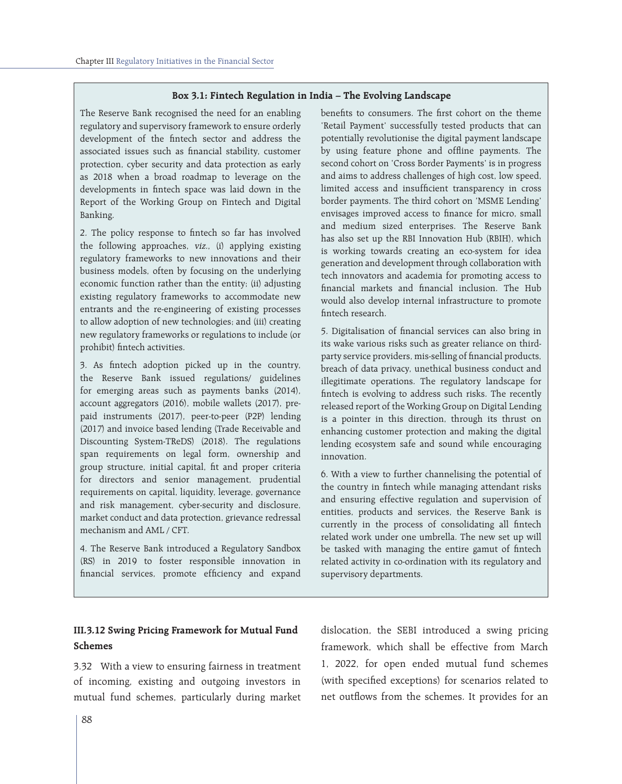#### **Box 3.1: Fintech Regulation in India – The Evolving Landscape**

The Reserve Bank recognised the need for an enabling regulatory and supervisory framework to ensure orderly development of the fintech sector and address the associated issues such as financial stability, customer protection, cyber security and data protection as early as 2018 when a broad roadmap to leverage on the developments in fintech space was laid down in the Report of the Working Group on Fintech and Digital Banking.

2. The policy response to fintech so far has involved the following approaches, viz., (i) applying existing regulatory frameworks to new innovations and their business models, often by focusing on the underlying economic function rather than the entity; (ii) adjusting existing regulatory frameworks to accommodate new entrants and the re-engineering of existing processes to allow adoption of new technologies; and (iii) creating new regulatory frameworks or regulations to include (or prohibit) fintech activities.

3. As fintech adoption picked up in the country, the Reserve Bank issued regulations/ guidelines for emerging areas such as payments banks (2014), account aggregators (2016), mobile wallets (2017), prepaid instruments (2017), peer-to-peer (P2P) lending (2017) and invoice based lending (Trade Receivable and Discounting System-TReDS) (2018). The regulations span requirements on legal form, ownership and group structure, initial capital, fit and proper criteria for directors and senior management, prudential requirements on capital, liquidity, leverage, governance and risk management, cyber-security and disclosure, market conduct and data protection, grievance redressal mechanism and AML / CFT.

4. The Reserve Bank introduced a Regulatory Sandbox (RS) in 2019 to foster responsible innovation in financial services, promote efficiency and expand benefits to consumers. The first cohort on the theme 'Retail Payment' successfully tested products that can potentially revolutionise the digital payment landscape by using feature phone and offline payments. The second cohort on 'Cross Border Payments' is in progress and aims to address challenges of high cost, low speed, limited access and insufficient transparency in cross border payments. The third cohort on 'MSME Lending' envisages improved access to finance for micro, small and medium sized enterprises. The Reserve Bank has also set up the RBI Innovation Hub (RBIH), which is working towards creating an eco-system for idea generation and development through collaboration with tech innovators and academia for promoting access to financial markets and financial inclusion. The Hub would also develop internal infrastructure to promote fintech research.

5. Digitalisation of financial services can also bring in its wake various risks such as greater reliance on thirdparty service providers, mis-selling of financial products, breach of data privacy, unethical business conduct and illegitimate operations. The regulatory landscape for fintech is evolving to address such risks. The recently released report of the Working Group on Digital Lending is a pointer in this direction, through its thrust on enhancing customer protection and making the digital lending ecosystem safe and sound while encouraging innovation.

6. With a view to further channelising the potential of the country in fintech while managing attendant risks and ensuring effective regulation and supervision of entities, products and services, the Reserve Bank is currently in the process of consolidating all fintech related work under one umbrella. The new set up will be tasked with managing the entire gamut of fintech related activity in co-ordination with its regulatory and supervisory departments.

### **III.3.12 Swing Pricing Framework for Mutual Fund Schemes**

3.32 With a view to ensuring fairness in treatment of incoming, existing and outgoing investors in mutual fund schemes, particularly during market dislocation, the SEBI introduced a swing pricing framework, which shall be effective from March 1, 2022, for open ended mutual fund schemes (with specified exceptions) for scenarios related to net outflows from the schemes. It provides for an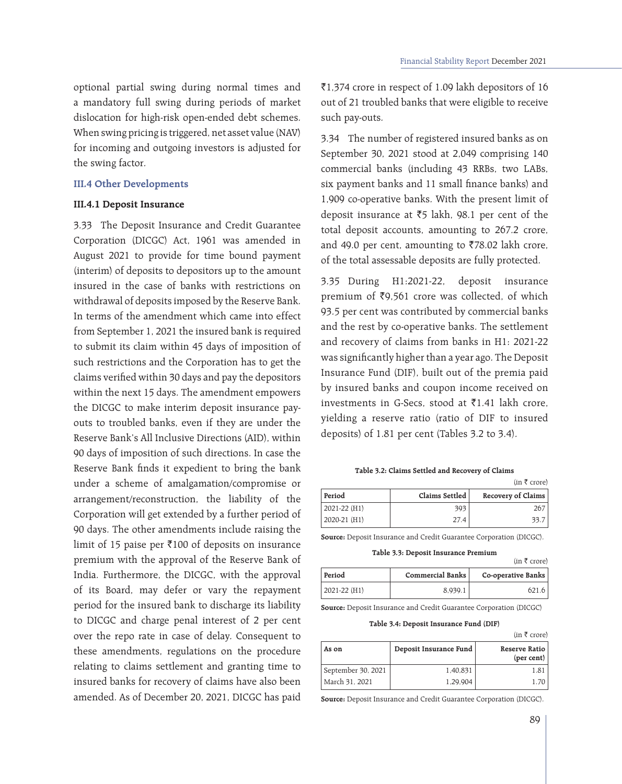optional partial swing during normal times and a mandatory full swing during periods of market dislocation for high-risk open-ended debt schemes. When swing pricing is triggered, net asset value (NAV) for incoming and outgoing investors is adjusted for the swing factor.

### **III.4 Other Developments**

#### **III.4.1 Deposit Insurance**

3.33 The Deposit Insurance and Credit Guarantee Corporation (DICGC) Act, 1961 was amended in August 2021 to provide for time bound payment (interim) of deposits to depositors up to the amount insured in the case of banks with restrictions on withdrawal of deposits imposed by the Reserve Bank. In terms of the amendment which came into effect from September 1, 2021 the insured bank is required to submit its claim within 45 days of imposition of such restrictions and the Corporation has to get the claims verified within 30 days and pay the depositors within the next 15 days. The amendment empowers the DICGC to make interim deposit insurance payouts to troubled banks, even if they are under the Reserve Bank's All Inclusive Directions (AID), within 90 days of imposition of such directions. In case the Reserve Bank finds it expedient to bring the bank under a scheme of amalgamation/compromise or arrangement/reconstruction, the liability of the Corporation will get extended by a further period of 90 days. The other amendments include raising the limit of 15 paise per  $\bar{\tau}$ 100 of deposits on insurance premium with the approval of the Reserve Bank of India. Furthermore, the DICGC, with the approval of its Board, may defer or vary the repayment period for the insured bank to discharge its liability to DICGC and charge penal interest of 2 per cent over the repo rate in case of delay. Consequent to these amendments, regulations on the procedure relating to claims settlement and granting time to insured banks for recovery of claims have also been amended. As of December 20, 2021, DICGC has paid  $\bar{c}$ 1,374 crore in respect of 1.09 lakh depositors of 16 out of 21 troubled banks that were eligible to receive such pay-outs.

3.34 The number of registered insured banks as on September 30, 2021 stood at 2,049 comprising 140 commercial banks (including 43 RRBs, two LABs, six payment banks and 11 small finance banks) and 1,909 co-operative banks. With the present limit of deposit insurance at  $\overline{5}$  lakh, 98.1 per cent of the total deposit accounts, amounting to 267.2 crore, and 49.0 per cent, amounting to  $\overline{578.02}$  lakh crore, of the total assessable deposits are fully protected.

3.35 During H1:2021-22, deposit insurance premium of  $\bar{z}$ 9,561 crore was collected, of which 93.5 per cent was contributed by commercial banks and the rest by co-operative banks. The settlement and recovery of claims from banks in H1: 2021-22 was significantly higher than a year ago. The Deposit Insurance Fund (DIF), built out of the premia paid by insured banks and coupon income received on investments in G-Secs, stood at  $\bar{z}1.41$  lakh crore, yielding a reserve ratio (ratio of DIF to insured deposits) of 1.81 per cent (Tables 3.2 to 3.4).

**Table 3.2: Claims Settled and Recovery of Claims**

|              |                | (in ₹ correct)     |
|--------------|----------------|--------------------|
| Period       | Claims Settled | Recovery of Claims |
| 2021-22 (H1) | 393            | 267                |
| 2020-21 (H1) | 27.4           | 33.7               |

**Source:** Deposit Insurance and Credit Guarantee Corporation (DICGC).

| Table 3.3: Deposit Insurance Premium |                                     |
|--------------------------------------|-------------------------------------|
|                                      | $(in \; \bar{\mathcal{E}}\; crore)$ |
|                                      |                                     |

| Period       | <b>Commercial Banks</b> | Co-operative Banks |
|--------------|-------------------------|--------------------|
| 2021-22 (H1) | 8,939.1                 | 621.6              |

**Source:** Deposit Insurance and Credit Guarantee Corporation (DICGC)

**Table 3.4: Deposit Insurance Fund (DIF)**

|                    |                        | (in ₹ correct)                         |
|--------------------|------------------------|----------------------------------------|
| As on              | Deposit Insurance Fund | Reserve Ratio<br>${\rm (per \, cent)}$ |
| September 30, 2021 | 1,40,831               | 1.81                                   |
| March 31, 2021     | 1.29.904               |                                        |

**Source:** Deposit Insurance and Credit Guarantee Corporation (DICGC).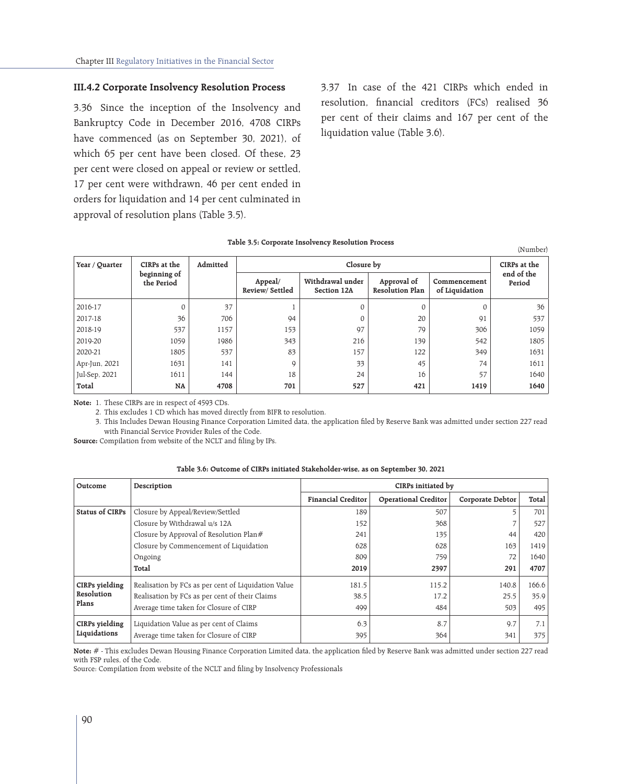#### **III.4.2 Corporate Insolvency Resolution Process**

3.36 Since the inception of the Insolvency and Bankruptcy Code in December 2016, 4708 CIRPs have commenced (as on September 30, 2021), of which 65 per cent have been closed. Of these, 23 per cent were closed on appeal or review or settled, 17 per cent were withdrawn, 46 per cent ended in orders for liquidation and 14 per cent culminated in approval of resolution plans (Table 3.5).

3.37 In case of the 421 CIRPs which ended in resolution, financial creditors (FCs) realised 36 per cent of their claims and 167 per cent of the liquidation value (Table 3.6).

### **Table 3.5: Corporate Insolvency Resolution Process** (Number)

| Year / Quarter | CIRPs at the               | Admitted |                           | Closure by                      |                                       |                                |                      |  |
|----------------|----------------------------|----------|---------------------------|---------------------------------|---------------------------------------|--------------------------------|----------------------|--|
|                | beginning of<br>the Period |          | Appeal/<br>Review/Settled | Withdrawal under<br>Section 12A | Approval of<br><b>Resolution Plan</b> | Commencement<br>of Liquidation | end of the<br>Period |  |
| 2016-17        | $\Omega$                   | 37       |                           | 0                               |                                       | $\Omega$                       | 36                   |  |
| 2017-18        | 36                         | 706      | 94                        |                                 | 20                                    | 91                             | 537                  |  |
| 2018-19        | 537                        | 1157     | 153                       | 97                              | 79                                    | 306                            | 1059                 |  |
| 2019-20        | 1059                       | 1986     | 343                       | 216                             | 139                                   | 542                            | 1805                 |  |
| 2020-21        | 1805                       | 537      | 83                        | 157                             | 122                                   | 349                            | 1631                 |  |
| Apr-Jun, 2021  | 1631                       | 141      | 9                         | 33                              | 45                                    | 74                             | 1611                 |  |
| Jul-Sep, 2021  | 1611                       | 144      | 18                        | 24                              | 16                                    | 57                             | 1640                 |  |
| Total          | NA                         | 4708     | 701                       | 527                             | 421                                   | 1419                           | 1640                 |  |

**Note:** 1. These CIRPs are in respect of 4593 CDs.

2. This excludes 1 CD which has moved directly from BIFR to resolution.

3. This Includes Dewan Housing Finance Corporation Limited data, the application filed by Reserve Bank was admitted under section 227 read with Financial Service Provider Rules of the Code.

**Source:** Compilation from website of the NCLT and filing by IPs.

| Outcome                | Description                                         | CIRPs initiated by        |                             |                  |       |  |
|------------------------|-----------------------------------------------------|---------------------------|-----------------------------|------------------|-------|--|
|                        |                                                     | <b>Financial Creditor</b> | <b>Operational Creditor</b> | Corporate Debtor | Total |  |
| <b>Status of CIRPs</b> | Closure by Appeal/Review/Settled                    | 189                       | 507                         |                  | 701   |  |
|                        | Closure by Withdrawal u/s 12A                       | 152                       | 368                         |                  | 527   |  |
|                        | Closure by Approval of Resolution Plan#             | 241                       | 135                         | 44               | 420   |  |
|                        | Closure by Commencement of Liquidation              | 628                       | 628                         | 163              | 1419  |  |
|                        | Ongoing                                             | 809                       | 759                         | 72               | 1640  |  |
|                        | Total                                               | 2019                      | 2397                        | 291              | 4707  |  |
| <b>CIRPs</b> yielding  | Realisation by FCs as per cent of Liquidation Value | 181.5                     | 115.2                       | 140.8            | 166.6 |  |
| Resolution             | Realisation by FCs as per cent of their Claims      | 38.5                      | 17.2                        | 25.5             | 35.9  |  |
| Plans                  | Average time taken for Closure of CIRP              | 499                       | 484                         | 503              | 495   |  |
| <b>CIRPs</b> yielding  | Liquidation Value as per cent of Claims             | 6.3                       | 8.7                         | 9.7              | 7.1   |  |
| Liquidations           | Average time taken for Closure of CIRP              | 395                       | 364                         | 341              | 375   |  |

#### **Table 3.6: Outcome of CIRPs initiated Stakeholder-wise, as on September 30, 2021**

**Note:** # - This excludes Dewan Housing Finance Corporation Limited data, the application filed by Reserve Bank was admitted under section 227 read with FSP rules, of the Code.

Source: Compilation from website of the NCLT and filing by Insolvency Professionals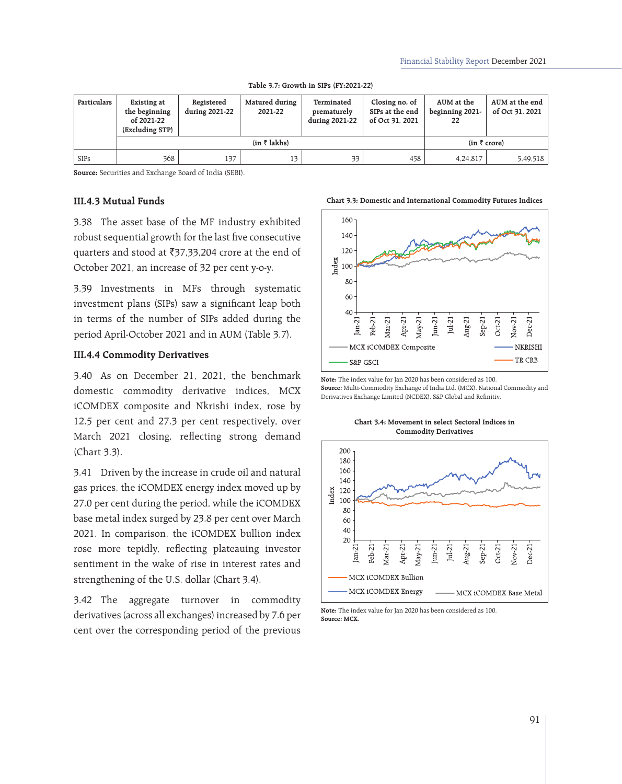| Particulars | Existing at<br>the beginning<br>of 2021-22<br>(Excluding STP) | Registered<br>during 2021-22 | Matured during<br>2021-22 | Terminated<br>prematurely<br>during 2021-22 | Closing no. of<br>SIPs at the end<br>of Oct 31, 2021 | AUM at the<br>beginning 2021-<br>22 | AUM at the end<br>of Oct 31, 2021 |
|-------------|---------------------------------------------------------------|------------------------------|---------------------------|---------------------------------------------|------------------------------------------------------|-------------------------------------|-----------------------------------|
|             |                                                               |                              | $(in \in \text{lakhs})$   |                                             |                                                      |                                     | $(in \bar{z} \text{ core})$       |
| <b>SIPs</b> | 368                                                           | 137                          |                           | 33                                          | 458                                                  | 4.24.817                            | 5,49,518                          |

**Table 3.7: Growth in SIPs (FY:2021-22)**

**Source:** Securities and Exchange Board of India (SEBI).

#### **III.4.3 Mutual Funds**

3.38 The asset base of the MF industry exhibited robust sequential growth for the last five consecutive quarters and stood at  $\overline{3}37,33,204$  crore at the end of October 2021, an increase of 32 per cent y-o-y.

3.39 Investments in MFs through systematic investment plans (SIPs) saw a significant leap both in terms of the number of SIPs added during the period April-October 2021 and in AUM (Table 3.7).

### **III.4.4 Commodity Derivatives**

3.40 As on December 21, 2021, the benchmark domestic commodity derivative indices, MCX iCOMDEX composite and Nkrishi index, rose by 12.5 per cent and 27.3 per cent respectively, over March 2021 closing, reflecting strong demand (Chart 3.3).

3.41 Driven by the increase in crude oil and natural gas prices, the iCOMDEX energy index moved up by 27.0 per cent during the period, while the iCOMDEX base metal index surged by 23.8 per cent over March 2021. In comparison, the iCOMDEX bullion index rose more tepidly, reflecting plateauing investor sentiment in the wake of rise in interest rates and strengthening of the U.S. dollar (Chart 3.4).

3.42 The aggregate turnover in commodity derivatives (across all exchanges) increased by 7.6 per cent over the corresponding period of the previous



**Note:** The index value for Jan 2020 has been considered as 100. **Source:** Multi-Commodity Exchange of India Ltd. (MCX), National Commodity and Derivatives Exchange Limited (NCDEX), S&P Global and Refinitiv.

**Chart 3.4: Movement in select Sectoral Indices in Commodity Derivatives**



**Note:** The index value for Jan 2020 has been considered as 100. **Source: MCX.**

**Chart 3.3: Domestic and International Commodity Futures Indices**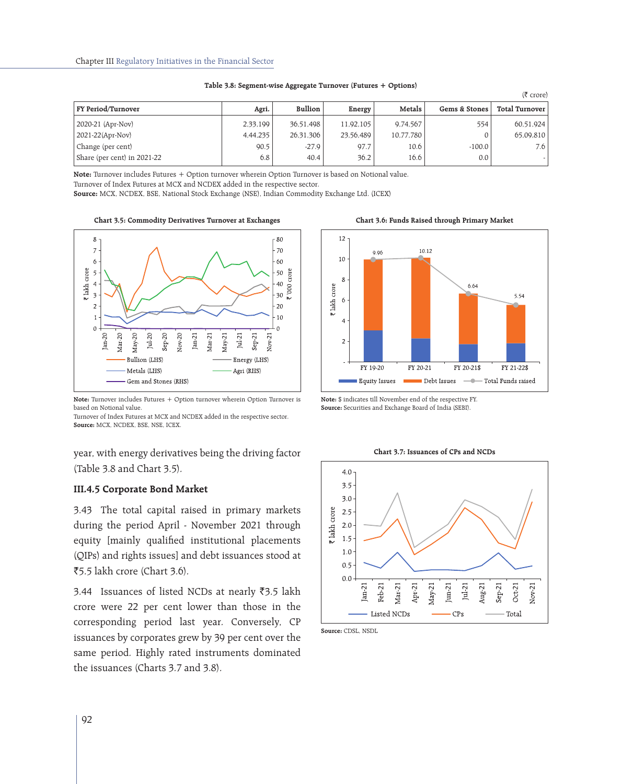| <b>FY Period/Turnover</b>   | Agri.    | Bullion   | Energy    | Metals    | Gems & Stones | <b>Total Turnover</b> |
|-----------------------------|----------|-----------|-----------|-----------|---------------|-----------------------|
| 2020-21 (Apr-Nov)           | 2,33,199 | 36,51,498 | 11,92,105 | 9.74.567  | 554           | 60,51,924             |
| 2021-22(Apr-Nov)            | 4.44.235 | 26,31,306 | 23,56,489 | 10,77,780 |               | 65,09,810             |
| Change (per cent)           | 90.5     | $-27.9$   | 97.7      | 10.6      | $-100.0$      | 7.6 <sub>1</sub>      |
| Share (per cent) in 2021-22 | 6.8      | 40.4      | 36.2      | 16.6      | 0.0           |                       |

**Table 3.8: Segment-wise Aggregate Turnover (Futures + Options)** 

**Note:** Turnover includes Futures + Option turnover wherein Option Turnover is based on Notional value. Turnover of Index Futures at MCX and NCDEX added in the respective sector.

**Source:** MCX, NCDEX, BSE, National Stock Exchange (NSE), Indian Commodity Exchange Ltd. (ICEX)

**Chart 3.5: Commodity Derivatives Turnover at Exchanges** 



**Note:** Turnover includes Futures + Option turnover wherein Option Turnover is based on Notional value.

Turnover of Index Futures at MCX and NCDEX added in the respective sector. **Source:** MCX, NCDEX, BSE, NSE, ICEX.

year, with energy derivatives being the driving factor (Table 3.8 and Chart 3.5).

#### **III.4.5 Corporate Bond Market**

3.43 The total capital raised in primary markets during the period April - November 2021 through equity [mainly qualified institutional placements (QIPs) and rights issues] and debt issuances stood at ₹5.5 lakh crore (Chart 3.6).

3.44 Issuances of listed NCDs at nearly ₹3.5 lakh crore were 22 per cent lower than those in the corresponding period last year. Conversely, CP issuances by corporates grew by 39 per cent over the same period. Highly rated instruments dominated the issuances (Charts 3.7 and 3.8).



**Chart 3.6: Funds Raised through Primary Market**

 $(\bar{\bar{\tau}}$  crore)

**Note:** \$ indicates till November end of the respective FY. **Source:** Securities and Exchange Board of India (SEBI).

**Chart 3.7: Issuances of CPs and NCDs**



**Source:** CDSL, NSDL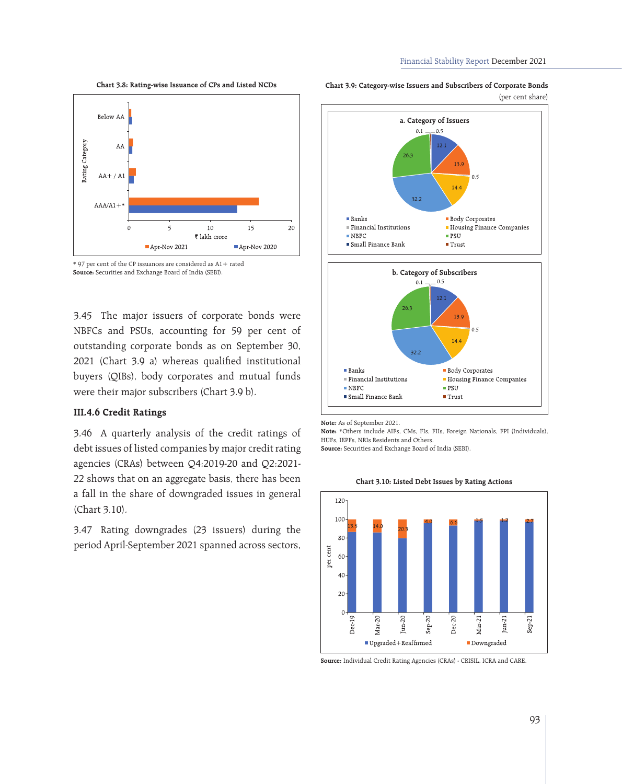#### **Chart 3.8: Rating-wise Issuance of CPs and Listed NCDs**





3.45 The major issuers of corporate bonds were NBFCs and PSUs, accounting for 59 per cent of outstanding corporate bonds as on September 30, 2021 (Chart 3.9 a) whereas qualified institutional buyers (QIBs), body corporates and mutual funds were their major subscribers (Chart 3.9 b).

#### **III.4.6 Credit Ratings**

3.46 A quarterly analysis of the credit ratings of debt issues of listed companies by major credit rating agencies (CRAs) between Q4:2019-20 and Q2:2021- 22 shows that on an aggregate basis, there has been a fall in the share of downgraded issues in general (Chart 3.10).

3.47 Rating downgrades (23 issuers) during the period April-September 2021 spanned across sectors,



**Chart 3.9: Category-wise Issuers and Subscribers of Corporate Bonds**

**Note:** As of September 2021.

**Note:** \*Others include AIFs, CMs, FIs, FIIs, Foreign Nationals, FPI (Individuals), HUFs, IEPFs, NRIs Residents and Others.

**Source:** Securities and Exchange Board of India (SEBI).

**Chart 3.10: Listed Debt Issues by Rating Actions**



**Source:** Individual Credit Rating Agencies (CRAs) - CRISIL, ICRA and CARE.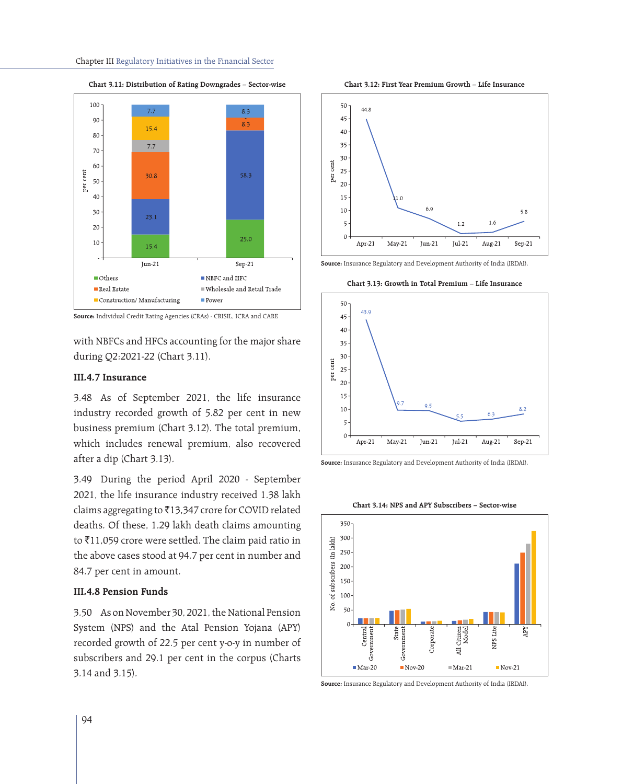**Chart 3.11: Distribution of Rating Downgrades – Sector-wise**



**Source:** Individual Credit Rating Agencies (CRAs) - CRISIL, ICRA and CARE

with NBFCs and HFCs accounting for the major share during Q2:2021-22 (Chart 3.11).

#### **III.4.7 Insurance**

3.48 As of September 2021, the life insurance industry recorded growth of 5.82 per cent in new business premium (Chart 3.12). The total premium, which includes renewal premium, also recovered after a dip (Chart 3.13).

3.49 During the period April 2020 - September 2021, the life insurance industry received 1.38 lakh claims aggregating to  $\bar{3}13,347$  crore for COVID related deaths. Of these, 1.29 lakh death claims amounting to ₹11,059 crore were settled. The claim paid ratio in the above cases stood at 94.7 per cent in number and 84.7 per cent in amount.

### **III.4.8 Pension Funds**

3.50 As on November 30, 2021, the National Pension System (NPS) and the Atal Pension Yojana (APY) recorded growth of 22.5 per cent y-o-y in number of subscribers and 29.1 per cent in the corpus (Charts 3.14 and 3.15).





**Source:** Insurance Regulatory and Development Authority of India (IRDAI).

**Chart 3.13: Growth in Total Premium – Life Insurance**



**Source:** Insurance Regulatory and Development Authority of India (IRDAI).

**Chart 3.14: NPS and APY Subscribers – Sector-wise**



**Source:** Insurance Regulatory and Development Authority of India (IRDAI).